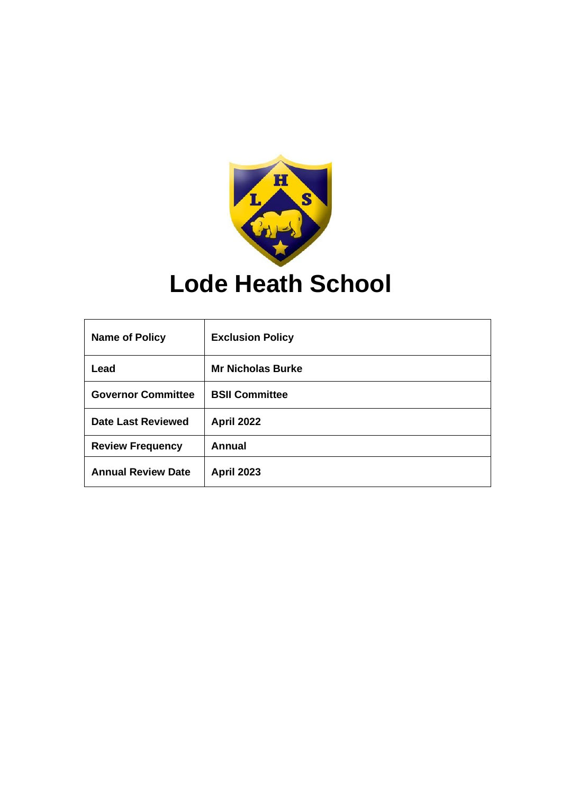

# **Lode Heath School**

| <b>Name of Policy</b>     | <b>Exclusion Policy</b>  |
|---------------------------|--------------------------|
| Lead                      | <b>Mr Nicholas Burke</b> |
| <b>Governor Committee</b> | <b>BSII Committee</b>    |
| <b>Date Last Reviewed</b> | <b>April 2022</b>        |
| <b>Review Frequency</b>   | <b>Annual</b>            |
| <b>Annual Review Date</b> | <b>April 2023</b>        |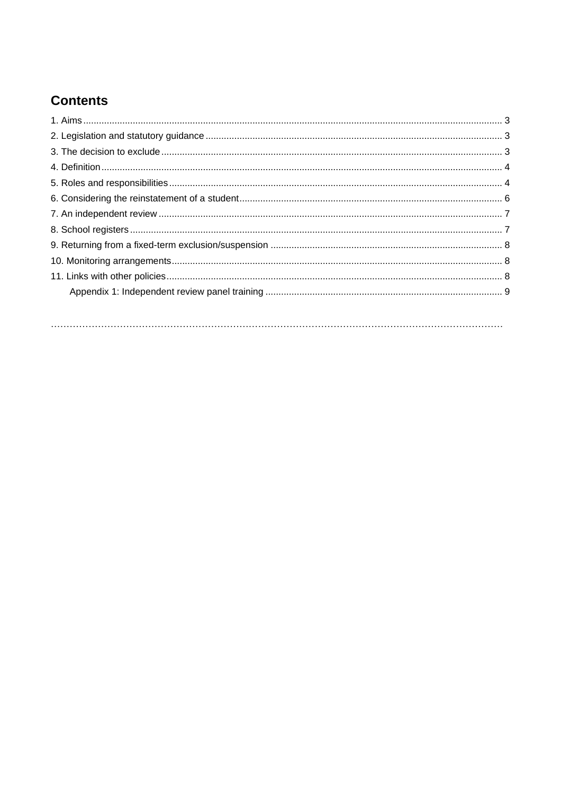# **Contents**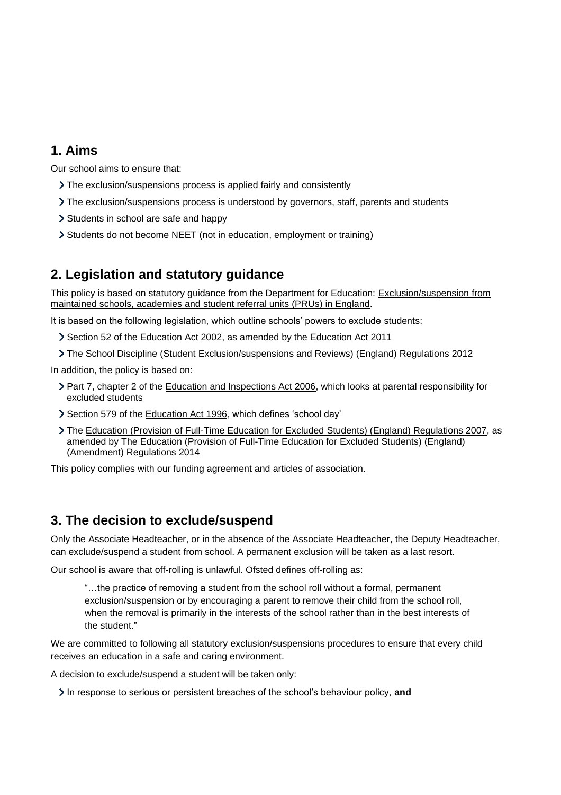# <span id="page-2-0"></span>**1. Aims**

Our school aims to ensure that:

- The exclusion/suspensions process is applied fairly and consistently
- The exclusion/suspensions process is understood by governors, staff, parents and students
- Students in school are safe and happy
- Students do not become NEET (not in education, employment or training)

# <span id="page-2-1"></span>**2. Legislation and statutory guidance**

This policy is based on statutory guidance from the Department for Education: [Exclusion/suspension](https://www.gov.uk/government/publications/school-exclusion) from [maintained schools, academies and student](https://www.gov.uk/government/publications/school-exclusion) referral units (PRUs) in England.

It is based on the following legislation, which outline schools' powers to exclude students:

- Section 52 of the [Education Act 2002,](http://www.legislation.gov.uk/ukpga/2002/32/section/52) as amended by the [Education Act 2011](http://www.legislation.gov.uk/ukpga/2011/21/contents/enacted)
- The School Discipline (Student [Exclusion/suspensions and Reviews\) \(England\) Regulations 2012](http://www.legislation.gov.uk/uksi/2012/1033/made)

In addition, the policy is based on:

- Part 7, chapter 2 of the [Education and Inspections Act 2006,](http://www.legislation.gov.uk/ukpga/2006/40/part/7/chapter/2) which looks at parental responsibility for excluded students
- Section 579 of the [Education Act 1996,](http://www.legislation.gov.uk/ukpga/1996/56/section/579) which defines 'school day'
- The [Education \(Provision of Full-Time Education for Excluded Students\) \(England\) Regulations 2007,](http://www.legislation.gov.uk/uksi/2007/1870/contents/made) as amended by [The Education \(Provision of Full-Time Education for Excluded Students\) \(England\)](http://www.legislation.gov.uk/uksi/2014/3216/contents/made)  [\(Amendment\) Regulations 2014](http://www.legislation.gov.uk/uksi/2014/3216/contents/made)

This policy complies with our funding agreement and articles of association.

### <span id="page-2-2"></span>**3. The decision to exclude/suspend**

Only the Associate Headteacher, or in the absence of the Associate Headteacher, the Deputy Headteacher, can exclude/suspend a student from school. A permanent exclusion will be taken as a last resort.

Our school is aware that off-rolling is unlawful. Ofsted defines off-rolling as:

"…the practice of removing a student from the school roll without a formal, permanent exclusion/suspension or by encouraging a parent to remove their child from the school roll, when the removal is primarily in the interests of the school rather than in the best interests of the student."

We are committed to following all statutory exclusion/suspensions procedures to ensure that every child receives an education in a safe and caring environment.

A decision to exclude/suspend a student will be taken only:

In response to serious or persistent breaches of the school's behaviour policy, and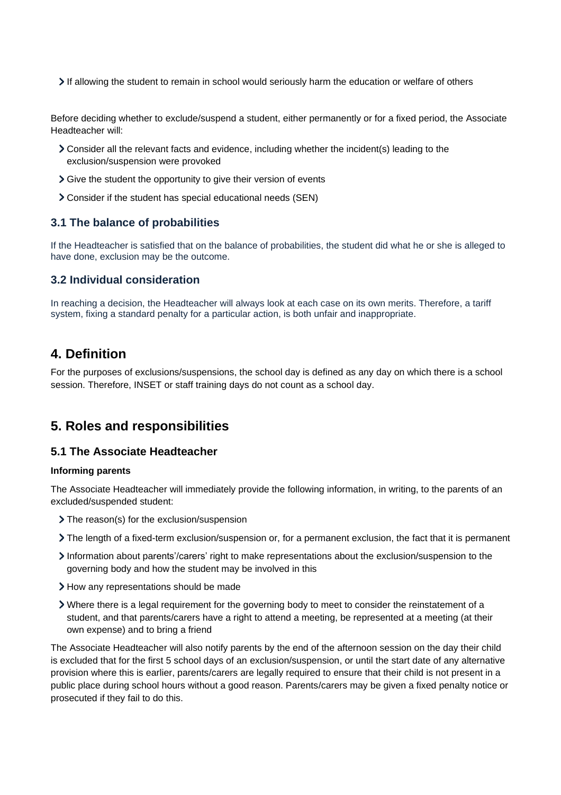If allowing the student to remain in school would seriously harm the education or welfare of others

Before deciding whether to exclude/suspend a student, either permanently or for a fixed period, the Associate Headteacher will:

- Consider all the relevant facts and evidence, including whether the incident(s) leading to the exclusion/suspension were provoked
- Give the student the opportunity to give their version of events
- Consider if the student has special educational needs (SEN)

#### **3.1 The balance of probabilities**

If the Headteacher is satisfied that on the balance of probabilities, the student did what he or she is alleged to have done, exclusion may be the outcome.

#### **3.2 Individual consideration**

In reaching a decision, the Headteacher will always look at each case on its own merits. Therefore, a tariff system, fixing a standard penalty for a particular action, is both unfair and inappropriate.

### <span id="page-3-0"></span>**4. Definition**

For the purposes of exclusions/suspensions, the school day is defined as any day on which there is a school session. Therefore, INSET or staff training days do not count as a school day.

### <span id="page-3-1"></span>**5. Roles and responsibilities**

#### **5.1 The Associate Headteacher**

#### **Informing parents**

The Associate Headteacher will immediately provide the following information, in writing, to the parents of an excluded/suspended student:

- > The reason(s) for the exclusion/suspension
- The length of a fixed-term exclusion/suspension or, for a permanent exclusion, the fact that it is permanent
- Information about parents'/carers' right to make representations about the exclusion/suspension to the governing body and how the student may be involved in this
- > How any representations should be made
- Where there is a legal requirement for the governing body to meet to consider the reinstatement of a student, and that parents/carers have a right to attend a meeting, be represented at a meeting (at their own expense) and to bring a friend

The Associate Headteacher will also notify parents by the end of the afternoon session on the day their child is excluded that for the first 5 school days of an exclusion/suspension, or until the start date of any alternative provision where this is earlier, parents/carers are legally required to ensure that their child is not present in a public place during school hours without a good reason. Parents/carers may be given a fixed penalty notice or prosecuted if they fail to do this.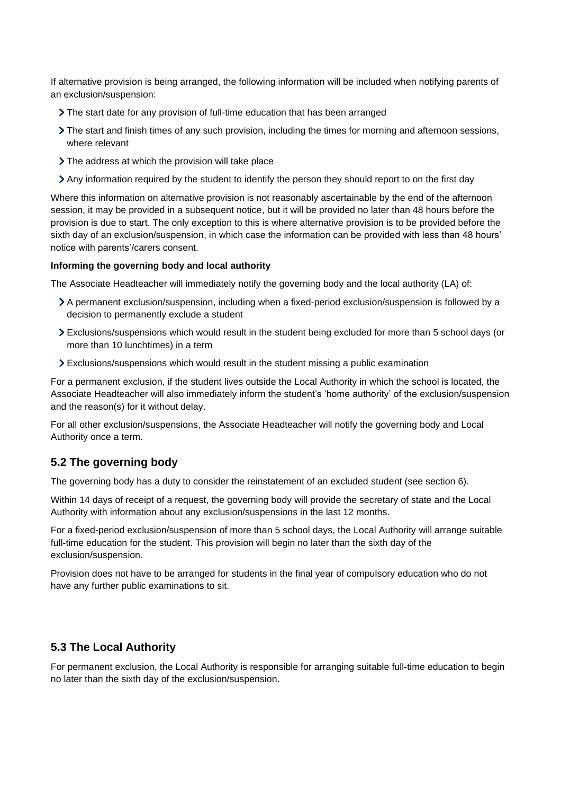If alternative provision is being arranged, the following information will be included when notifying parents of an exclusion/suspension:

- The start date for any provision of full-time education that has been arranged
- The start and finish times of any such provision, including the times for morning and afternoon sessions, where relevant
- The address at which the provision will take place
- Any information required by the student to identify the person they should report to on the first day

Where this information on alternative provision is not reasonably ascertainable by the end of the afternoon session, it may be provided in a subsequent notice, but it will be provided no later than 48 hours before the provision is due to start. The only exception to this is where alternative provision is to be provided before the sixth day of an exclusion/suspension, in which case the information can be provided with less than 48 hours' notice with parents'/carers consent.

#### **Informing the governing body and local authority**

The Associate Headteacher will immediately notify the governing body and the local authority (LA) of:

- A permanent exclusion/suspension, including when a fixed-period exclusion/suspension is followed by a decision to permanently exclude a student
- Exclusions/suspensions which would result in the student being excluded for more than 5 school days (or more than 10 lunchtimes) in a term
- Exclusions/suspensions which would result in the student missing a public examination

For a permanent exclusion, if the student lives outside the Local Authority in which the school is located, the Associate Headteacher will also immediately inform the student's 'home authority' of the exclusion/suspension and the reason(s) for it without delay.

For all other exclusion/suspensions, the Associate Headteacher will notify the governing body and Local Authority once a term.

#### **5.2 The governing body**

The governing body has a duty to consider the reinstatement of an excluded student (see section 6).

Within 14 days of receipt of a request, the governing body will provide the secretary of state and the Local Authority with information about any exclusion/suspensions in the last 12 months.

For a fixed-period exclusion/suspension of more than 5 school days, the Local Authority will arrange suitable full-time education for the student. This provision will begin no later than the sixth day of the exclusion/suspension.

Provision does not have to be arranged for students in the final year of compulsory education who do not have any further public examinations to sit.

#### **5.3 The Local Authority**

For permanent exclusion, the Local Authority is responsible for arranging suitable full-time education to begin no later than the sixth day of the exclusion/suspension.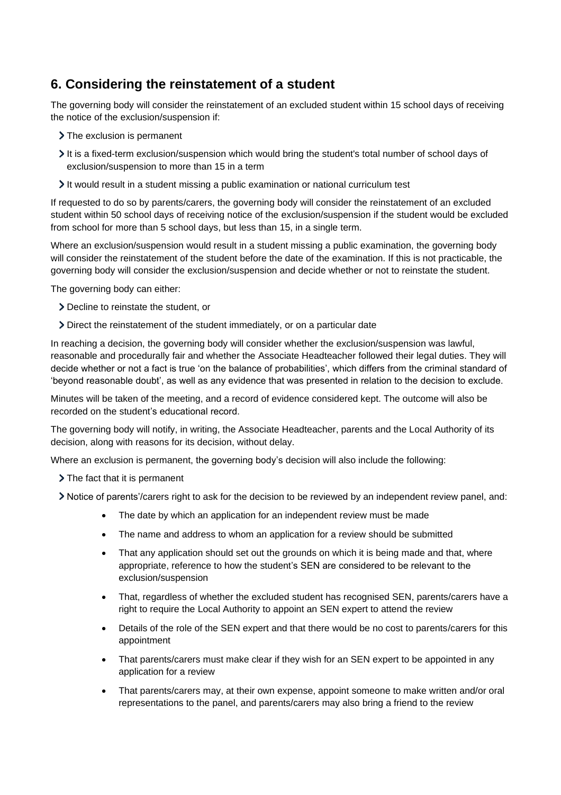# <span id="page-5-0"></span>**6. Considering the reinstatement of a student**

The governing body will consider the reinstatement of an excluded student within 15 school days of receiving the notice of the exclusion/suspension if:

- > The exclusion is permanent
- It is a fixed-term exclusion/suspension which would bring the student's total number of school days of exclusion/suspension to more than 15 in a term
- $\sum$  It would result in a student missing a public examination or national curriculum test

If requested to do so by parents/carers, the governing body will consider the reinstatement of an excluded student within 50 school days of receiving notice of the exclusion/suspension if the student would be excluded from school for more than 5 school days, but less than 15, in a single term.

Where an exclusion/suspension would result in a student missing a public examination, the governing body will consider the reinstatement of the student before the date of the examination. If this is not practicable, the governing body will consider the exclusion/suspension and decide whether or not to reinstate the student.

The governing body can either:

- Decline to reinstate the student, or
- Direct the reinstatement of the student immediately, or on a particular date

In reaching a decision, the governing body will consider whether the exclusion/suspension was lawful, reasonable and procedurally fair and whether the Associate Headteacher followed their legal duties. They will decide whether or not a fact is true 'on the balance of probabilities', which differs from the criminal standard of 'beyond reasonable doubt', as well as any evidence that was presented in relation to the decision to exclude.

Minutes will be taken of the meeting, and a record of evidence considered kept. The outcome will also be recorded on the student's educational record.

The governing body will notify, in writing, the Associate Headteacher, parents and the Local Authority of its decision, along with reasons for its decision, without delay.

Where an exclusion is permanent, the governing body's decision will also include the following:

- > The fact that it is permanent
- Notice of parents'/carers right to ask for the decision to be reviewed by an independent review panel, and:
	- The date by which an application for an independent review must be made
	- The name and address to whom an application for a review should be submitted
	- That any application should set out the grounds on which it is being made and that, where appropriate, reference to how the student's SEN are considered to be relevant to the exclusion/suspension
	- That, regardless of whether the excluded student has recognised SEN, parents/carers have a right to require the Local Authority to appoint an SEN expert to attend the review
	- Details of the role of the SEN expert and that there would be no cost to parents/carers for this appointment
	- That parents/carers must make clear if they wish for an SEN expert to be appointed in any application for a review
	- That parents/carers may, at their own expense, appoint someone to make written and/or oral representations to the panel, and parents/carers may also bring a friend to the review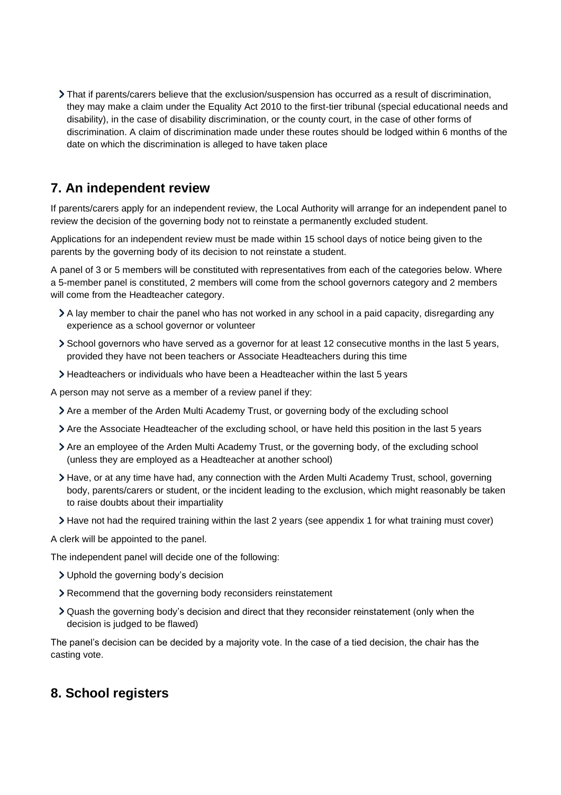That if parents/carers believe that the exclusion/suspension has occurred as a result of discrimination, they may make a claim under the Equality Act 2010 to the first-tier tribunal (special educational needs and disability), in the case of disability discrimination, or the county court, in the case of other forms of discrimination. A claim of discrimination made under these routes should be lodged within 6 months of the date on which the discrimination is alleged to have taken place

# <span id="page-6-0"></span>**7. An independent review**

If parents/carers apply for an independent review, the Local Authority will arrange for an independent panel to review the decision of the governing body not to reinstate a permanently excluded student.

Applications for an independent review must be made within 15 school days of notice being given to the parents by the governing body of its decision to not reinstate a student.

A panel of 3 or 5 members will be constituted with representatives from each of the categories below. Where a 5-member panel is constituted, 2 members will come from the school governors category and 2 members will come from the Headteacher category.

- A lay member to chair the panel who has not worked in any school in a paid capacity, disregarding any experience as a school governor or volunteer
- School governors who have served as a governor for at least 12 consecutive months in the last 5 years, provided they have not been teachers or Associate Headteachers during this time
- Headteachers or individuals who have been a Headteacher within the last 5 years

A person may not serve as a member of a review panel if they:

- Are a member of the Arden Multi Academy Trust, or governing body of the excluding school
- Are the Associate Headteacher of the excluding school, or have held this position in the last 5 years
- Are an employee of the Arden Multi Academy Trust, or the governing body, of the excluding school (unless they are employed as a Headteacher at another school)
- Have, or at any time have had, any connection with the Arden Multi Academy Trust, school, governing body, parents/carers or student, or the incident leading to the exclusion, which might reasonably be taken to raise doubts about their impartiality
- Have not had the required training within the last 2 years (see appendix 1 for what training must cover)

A clerk will be appointed to the panel.

The independent panel will decide one of the following:

- Uphold the governing body's decision
- Recommend that the governing body reconsiders reinstatement
- Quash the governing body's decision and direct that they reconsider reinstatement (only when the decision is judged to be flawed)

The panel's decision can be decided by a majority vote. In the case of a tied decision, the chair has the casting vote.

### <span id="page-6-1"></span>**8. School registers**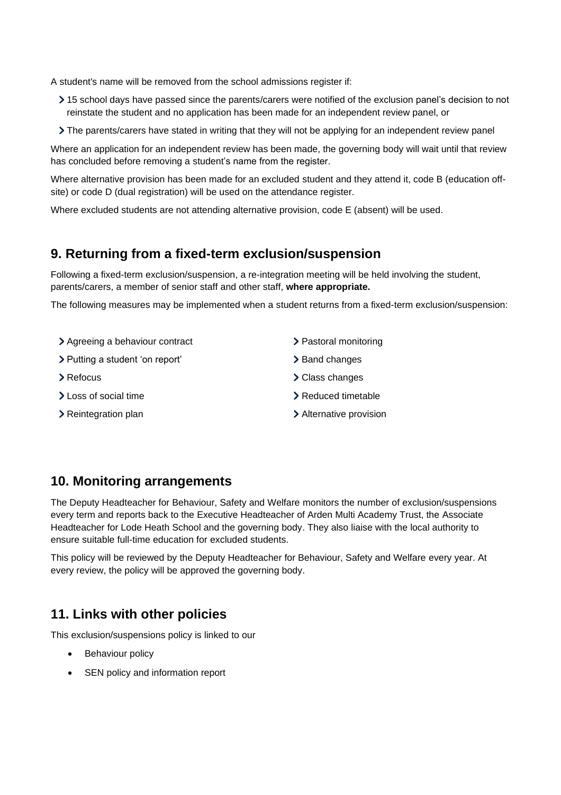A student's name will be removed from the school admissions register if:

- 15 school days have passed since the parents/carers were notified of the exclusion panel's decision to not reinstate the student and no application has been made for an independent review panel, or
- The parents/carers have stated in writing that they will not be applying for an independent review panel

Where an application for an independent review has been made, the governing body will wait until that review has concluded before removing a student's name from the register.

Where alternative provision has been made for an excluded student and they attend it, code B (education offsite) or code D (dual registration) will be used on the attendance register.

Where excluded students are not attending alternative provision, code E (absent) will be used.

### <span id="page-7-0"></span>**9. Returning from a fixed-term exclusion/suspension**

Following a fixed-term exclusion/suspension, a re-integration meeting will be held involving the student, parents/carers, a member of senior staff and other staff, **where appropriate.**

The following measures may be implemented when a student returns from a fixed-term exclusion/suspension:

> Agreeing a behaviour contract > Putting a student 'on report' > Refocus > Loss of social time > Reintegration plan > Pastoral monitoring > Band changes Class changes > Reduced timetable Alternative provision

## <span id="page-7-1"></span>**10. Monitoring arrangements**

The Deputy Headteacher for Behaviour, Safety and Welfare monitors the number of exclusion/suspensions every term and reports back to the Executive Headteacher of Arden Multi Academy Trust, the Associate Headteacher for Lode Heath School and the governing body. They also liaise with the local authority to ensure suitable full-time education for excluded students.

This policy will be reviewed by the Deputy Headteacher for Behaviour, Safety and Welfare every year. At every review, the policy will be approved the governing body.

# <span id="page-7-2"></span>**11. Links with other policies**

This exclusion/suspensions policy is linked to our

- Behaviour policy
- SEN policy and information report